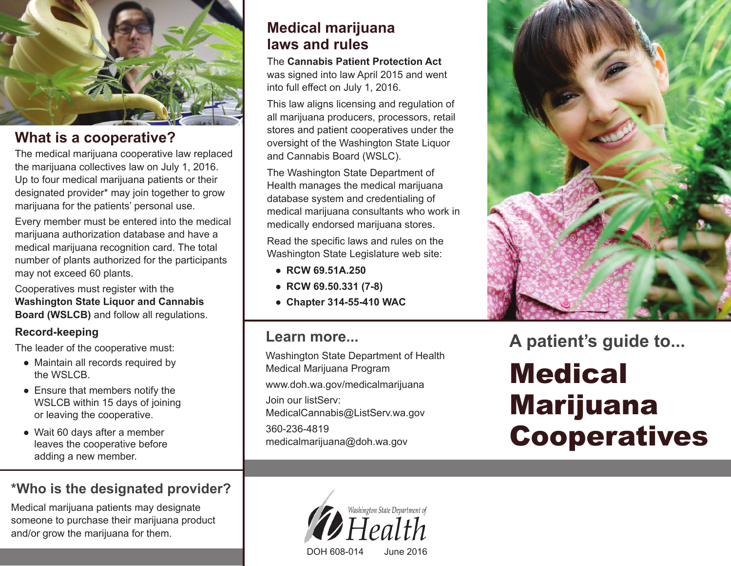

## **What is a cooperative?**

The medical marijuana cooperative law replaced the marijuana collectives law on July 1, 2016. Up to four medical marijuana patients or their designated provider\* may join together to grow marijuana for the patients' personal use.

Every member must be entered into the medical marijuana authorization database and have a medical marijuana recognition card. The total number of plants authorized for the participants may not exceed 60 plants.

Cooperatives must register with the **Washington State Liquor and Cannabis Board (WSLCB)** and follow all regulations.

#### **Record-keeping**

The leader of the cooperative must:

- **●** Maintain all records required by the WSLCB.
- **●** Ensure that members notify the WSLCB within 15 days of joining or leaving the cooperative.
- **●** Wait 60 days after a member leaves the cooperative before adding a new member.

# **\*Who is the designated provider?**

Medical marijuana patients may designate someone to purchase their marijuana product and/or grow the marijuana for them.

# **Medical marijuana laws and rules**

The **Cannabis Patient Protection Act** was signed into law April 2015 and went into full effect on July 1, 2016.

This law aligns licensing and regulation of all marijuana producers, processors, retail stores and patient cooperatives under the oversight of the Washington State Liquor and Cannabis Board (WSLC).

The Washington State Department of Health manages the medical marijuana database system and credentialing of medical marijuana consultants who work in medically endorsed marijuana stores.

Read the specific laws and rules on the Washington State Legislature web site:

- **RCW 69.51A.250**
- **RCW 69.50.331 (7-8)**
- **Chapter 314-55-410 WAC**

### **Learn more...**

Washington State Department of Health Medical Marijuana Program www.doh.wa.gov/medicalmarijuana Join our listServ: MedicalCannabis@ListServ.wa.gov 360-236-4819 medicalmarijuana@doh.wa.gov





**A patient's guide to...**

# Medical Marijuana Cooperatives